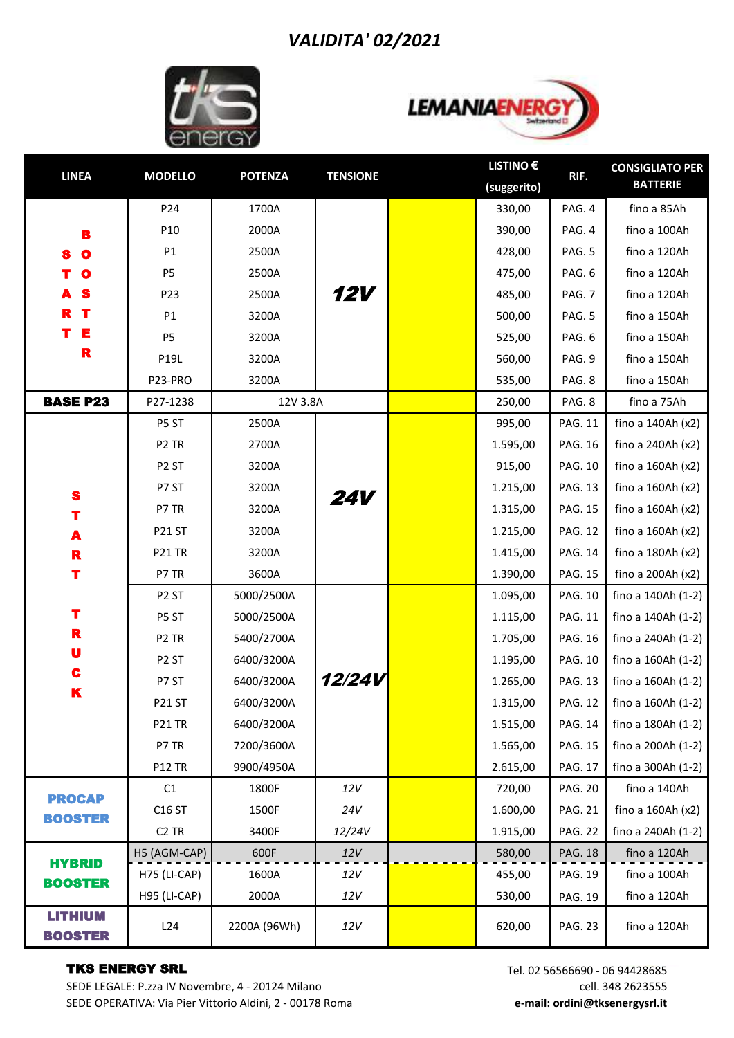## *VALIDITA' 02/2021*





| <b>LINEA</b>                     | <b>MODELLO</b>      | <b>POTENZA</b> | <b>TENSIONE</b> | <b>LISTINO €</b> | RIF.           | <b>CONSIGLIATO PER</b> |
|----------------------------------|---------------------|----------------|-----------------|------------------|----------------|------------------------|
|                                  |                     |                |                 | (suggerito)      |                | <b>BATTERIE</b>        |
|                                  | P24                 | 1700A          | <b>12V</b>      | 330,00           | PAG. 4         | fino a 85Ah            |
| B                                | P10                 | 2000A          |                 | 390,00           | PAG. 4         | fino a 100Ah           |
| $\bullet$                        | P1                  | 2500A          |                 | 428,00           | PAG. 5         | fino a 120Ah           |
| $\mathbf o$                      | <b>P5</b>           | 2500A          |                 | 475,00           | PAG. 6         | fino a 120Ah           |
|                                  | P23                 | 2500A          |                 | 485,00           | PAG. 7         | fino a 120Ah           |
| т                                | P <sub>1</sub>      | 3200A          |                 | 500,00           | PAG. 5         | fino a 150Ah           |
| E                                | P5                  | 3200A          |                 | 525,00           | PAG. 6         | fino a 150Ah           |
| R                                | P19L                | 3200A          |                 | 560,00           | PAG. 9         | fino a 150Ah           |
|                                  | P23-PRO             | 3200A          |                 | 535,00           | PAG. 8         | fino a 150Ah           |
| <b>BASE P23</b>                  | P27-1238            | 12V 3.8A       |                 | 250,00           | PAG. 8         | fino a 75Ah            |
|                                  | P5 ST               | 2500A          |                 | 995,00           | <b>PAG. 11</b> | fino a 140Ah (x2)      |
|                                  | P <sub>2</sub> TR   | 2700A          |                 | 1.595,00         | <b>PAG. 16</b> | fino a 240Ah (x2)      |
|                                  | P <sub>2</sub> ST   | 3200A          |                 | 915,00           | <b>PAG. 10</b> | fino a 160Ah (x2)      |
| S                                | P7 ST               | 3200A          | <b>24V</b>      | 1.215,00         | <b>PAG. 13</b> | fino a $160Ah(x2)$     |
| Т                                | P7 TR               | 3200A          |                 | 1.315,00         | <b>PAG. 15</b> | fino a $160Ah(x2)$     |
| A                                | <b>P21 ST</b>       | 3200A          |                 | 1.215,00         | <b>PAG. 12</b> | fino a 160Ah (x2)      |
| R                                | <b>P21 TR</b>       | 3200A          |                 | 1.415,00         | <b>PAG. 14</b> | fino a 180Ah (x2)      |
| Т                                | P7 TR               | 3600A          |                 | 1.390,00         | <b>PAG. 15</b> | fino a 200Ah (x2)      |
|                                  | P <sub>2</sub> ST   | 5000/2500A     |                 | 1.095,00         | PAG. 10        | fino a 140Ah (1-2)     |
| т<br>R<br>U<br>C                 | P5 ST               | 5000/2500A     |                 | 1.115,00         | <b>PAG. 11</b> | fino a 140Ah (1-2)     |
|                                  | P <sub>2</sub> TR   | 5400/2700A     | 12/24V          | 1.705,00         | <b>PAG. 16</b> | fino a 240Ah (1-2)     |
|                                  | P <sub>2</sub> ST   | 6400/3200A     |                 | 1.195,00         | <b>PAG. 10</b> | fino a 160Ah (1-2)     |
|                                  | P7 ST               | 6400/3200A     |                 | 1.265,00         | <b>PAG. 13</b> | fino a 160Ah (1-2)     |
| K                                | <b>P21 ST</b>       | 6400/3200A     |                 | 1.315,00         | <b>PAG. 12</b> | fino a 160Ah (1-2)     |
|                                  | <b>P21 TR</b>       | 6400/3200A     |                 | 1.515,00         | <b>PAG. 14</b> | fino a 180Ah (1-2)     |
|                                  | P7 TR               | 7200/3600A     |                 | 1.565,00         | <b>PAG. 15</b> | fino a 200Ah (1-2)     |
|                                  | <b>P12 TR</b>       | 9900/4950A     |                 | 2.615,00         | <b>PAG. 17</b> | fino a 300Ah (1-2)     |
| <b>PROCAP</b>                    | C1                  | 1800F          | 12V             | 720,00           | <b>PAG. 20</b> | fino a 140Ah           |
| <b>BOOSTER</b>                   | C16 ST              | 1500F          | 24V             | 1.600,00         | <b>PAG. 21</b> | fino a 160Ah (x2)      |
|                                  | C <sub>2</sub> TR   | 3400F          | 12/24V          | 1.915,00         | <b>PAG. 22</b> | fino a 240Ah (1-2)     |
| <b>HYBRID</b>                    | H5 (AGM-CAP)        | 600F           | 12V             | 580,00           | <b>PAG. 18</b> | fino a 120Ah           |
| <b>BOOSTER</b>                   | H75 (LI-CAP)        | 1600A          | 12V             | 455,00           | PAG. 19        | fino a 100Ah           |
|                                  | <b>H95 (LI-CAP)</b> | 2000A          | 12V             | 530,00           | PAG. 19        | fino a 120Ah           |
| <b>LITHIUM</b><br><b>BOOSTER</b> | L24                 | 2200A (96Wh)   | $12V$           | 620,00           | <b>PAG. 23</b> | fino a 120Ah           |

## TKS ENERGY SRL

SEDE LEGALE: P.zza IV Novembre, 4 - 20124 Milano SEDE OPERATIVA: Via Pier Vittorio Aldini, 2 - 00178 Roma Tel. 02 56566690 - 06 94428685 cell. 348 2623555 **e-mail: ordini@tksenergysrl.it**